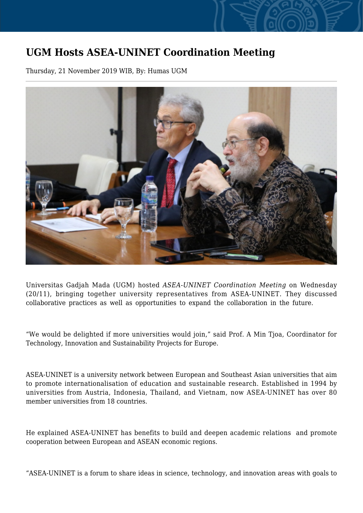## **UGM Hosts ASEA-UNINET Coordination Meeting**

Thursday, 21 November 2019 WIB, By: Humas UGM



Universitas Gadjah Mada (UGM) hosted *ASEA-UNINET Coordination Meeting* on Wednesday (20/11), bringing together university representatives from ASEA-UNINET. They discussed collaborative practices as well as opportunities to expand the collaboration in the future.

"We would be delighted if more universities would join," said Prof. A Min Tjoa, Coordinator for Technology, Innovation and Sustainability Projects for Europe.

ASEA-UNINET is a university network between European and Southeast Asian universities that aim to promote internationalisation of education and sustainable research. Established in 1994 by universities from Austria, Indonesia, Thailand, and Vietnam, now ASEA-UNINET has over 80 member universities from 18 countries.

He explained ASEA-UNINET has benefits to build and deepen academic relations and promote cooperation between European and ASEAN economic regions.

"ASEA-UNINET is a forum to share ideas in science, technology, and innovation areas with goals to